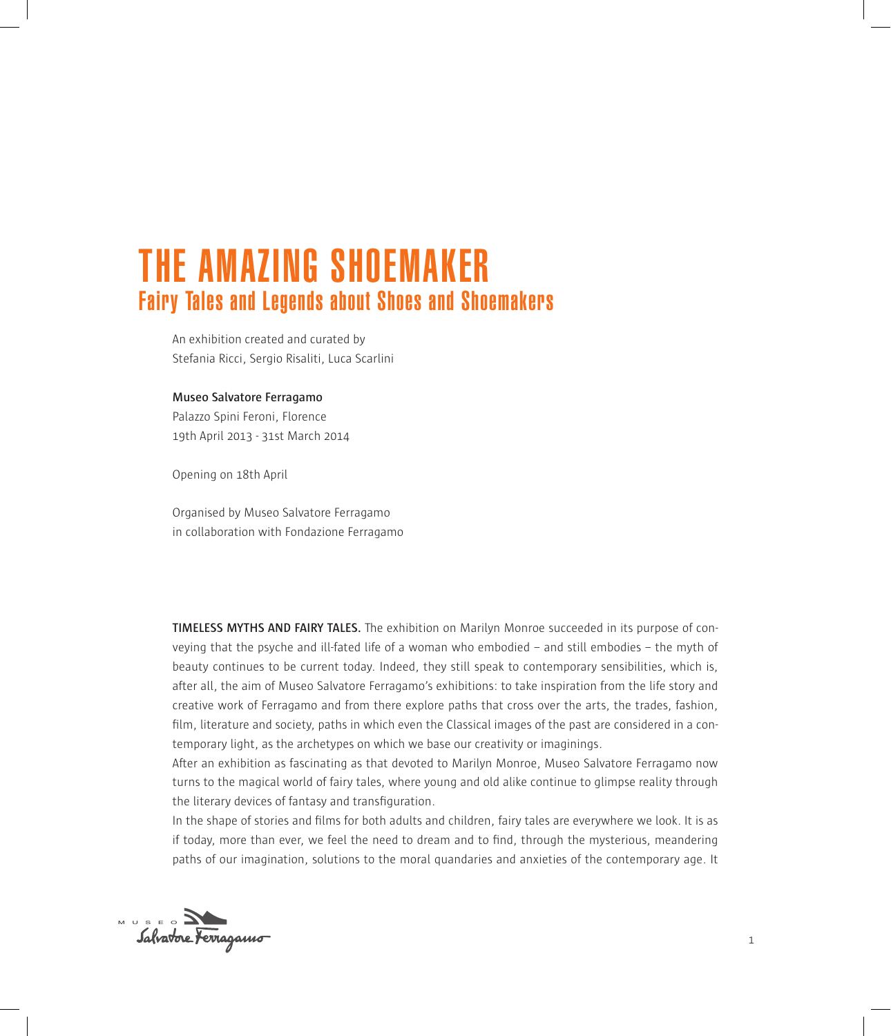# THE AMAZING SHOEMAKER Fairy Tales and Legends about Shoes and Shoemakers

An exhibition created and curated by Stefania Ricci, Sergio Risaliti, Luca Scarlini

## **Museo Salvatore Ferragamo**

Palazzo Spini Feroni, Florence 19th April 2013 - 31st March 2014

Opening on 18th April

Organised by Museo Salvatore Ferragamo in collaboration with Fondazione Ferragamo

**TIMELESS MYTHS AND FAIRY TALES.** The exhibition on Marilyn Monroe succeeded in its purpose of conveying that the psyche and ill-fated life of a woman who embodied – and still embodies – the myth of beauty continues to be current today. Indeed, they still speak to contemporary sensibilities, which is, after all, the aim of Museo Salvatore Ferragamo's exhibitions: to take inspiration from the life story and creative work of Ferragamo and from there explore paths that cross over the arts, the trades, fashion, film, literature and society, paths in which even the Classical images of the past are considered in a contemporary light, as the archetypes on which we base our creativity or imaginings.

After an exhibition as fascinating as that devoted to Marilyn Monroe, Museo Salvatore Ferragamo now turns to the magical world of fairy tales, where young and old alike continue to glimpse reality through the literary devices of fantasy and transfiguration.

In the shape of stories and films for both adults and children, fairy tales are everywhere we look. It is as if today, more than ever, we feel the need to dream and to find, through the mysterious, meandering paths of our imagination, solutions to the moral quandaries and anxieties of the contemporary age. It

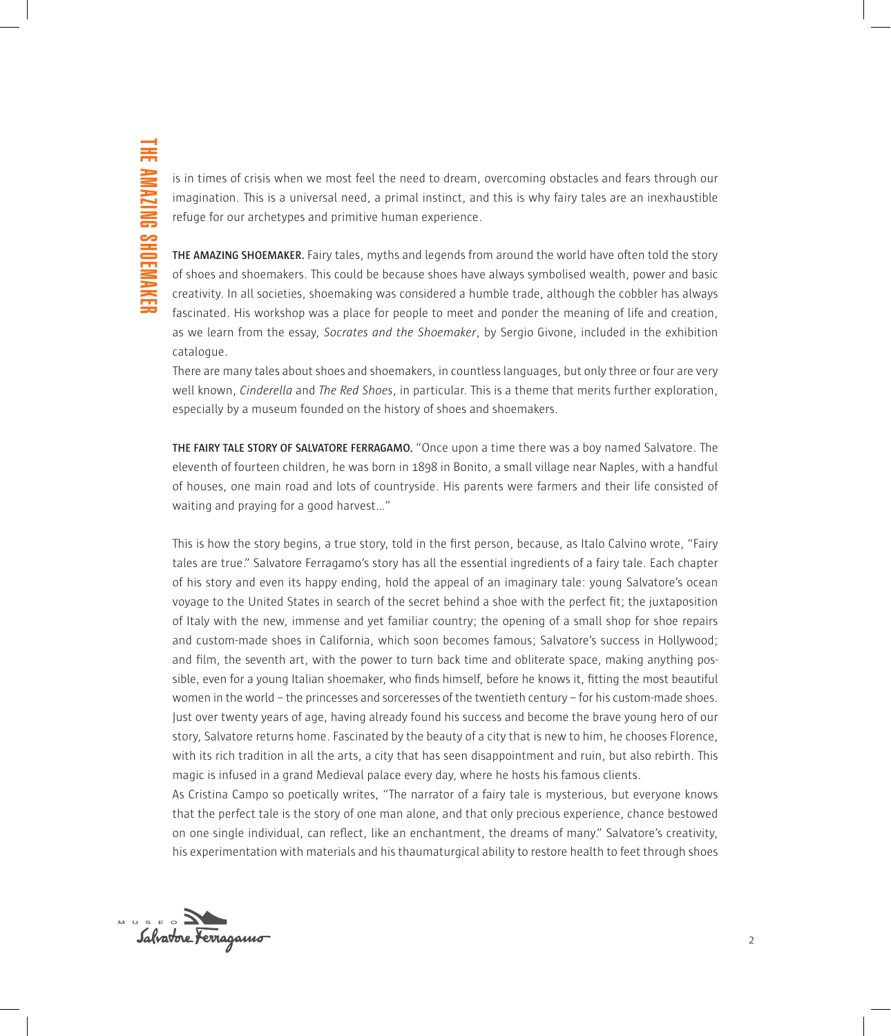is in times of crisis when we most feel the need to dream, overcoming obstacles and fears through our imagination. This is a universal need, a primal instinct, and this is why fairy tales are an inexhaustible refuge for our archetypes and primitive human experience.

**THE AMAZING SHOEMAKER.** Fairy tales, myths and legends from around the world have often told the story of shoes and shoemakers. This could be because shoes have always symbolised wealth, power and basic creativity. In all societies, shoemaking was considered a humble trade, although the cobbler has always fascinated. His workshop was a place for people to meet and ponder the meaning of life and creation, as we learn from the essay, *Socrates and the Shoemaker*, by Sergio Givone, included in the exhibition catalogue.

There are many tales about shoes and shoemakers, in countless languages, but only three or four are very well known, *Cinderella* and *The Red Shoes*, in particular. This is a theme that merits further exploration, especially by a museum founded on the history of shoes and shoemakers.

**THE FAIRY TALE STORY OF SALVATORE FERRAGAMO.** "Once upon a time there was a boy named Salvatore. The eleventh of fourteen children, he was born in 1898 in Bonito, a small village near Naples, with a handful of houses, one main road and lots of countryside. His parents were farmers and their life consisted of waiting and praying for a good harvest…"

This is how the story begins, a true story, told in the first person, because, as Italo Calvino wrote, "Fairy tales are true." Salvatore Ferragamo's story has all the essential ingredients of a fairy tale. Each chapter of his story and even its happy ending, hold the appeal of an imaginary tale: young Salvatore's ocean voyage to the United States in search of the secret behind a shoe with the perfect fit; the juxtaposition of Italy with the new, immense and yet familiar country; the opening of a small shop for shoe repairs and custom-made shoes in California, which soon becomes famous; Salvatore's success in Hollywood; and film, the seventh art, with the power to turn back time and obliterate space, making anything possible, even for a young Italian shoemaker, who finds himself, before he knows it, fitting the most beautiful women in the world – the princesses and sorceresses of the twentieth century – for his custom-made shoes. Just over twenty years of age, having already found his success and become the brave young hero of our story, Salvatore returns home. Fascinated by the beauty of a city that is new to him, he chooses Florence, with its rich tradition in all the arts, a city that has seen disappointment and ruin, but also rebirth. This magic is infused in a grand Medieval palace every day, where he hosts his famous clients.

As Cristina Campo so poetically writes, "The narrator of a fairy tale is mysterious, but everyone knows that the perfect tale is the story of one man alone, and that only precious experience, chance bestowed on one single individual, can reflect, like an enchantment, the dreams of many." Salvatore's creativity, his experimentation with materials and his thaumaturgical ability to restore health to feet through shoes

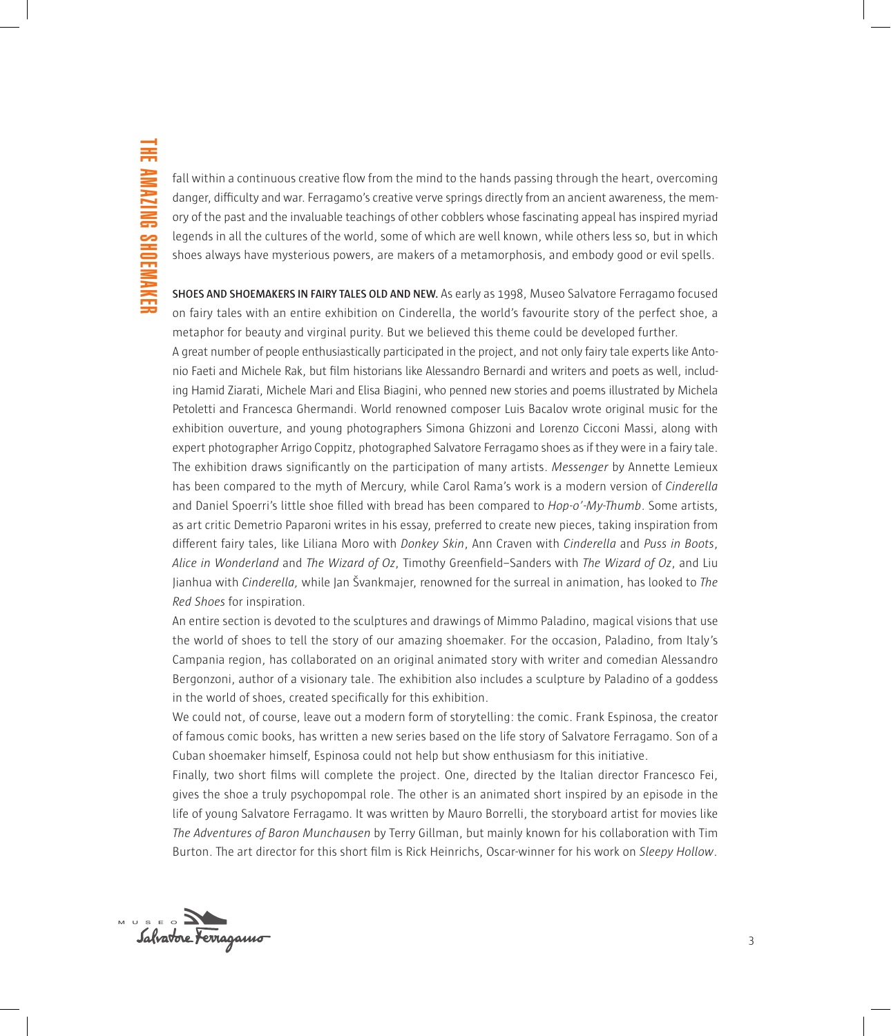fall within a continuous creative flow from the mind to the hands passing through the heart, overcoming danger, difficulty and war. Ferragamo's creative verve springs directly from an ancient awareness, the memory of the past and the invaluable teachings of other cobblers whose fascinating appeal has inspired myriad legends in all the cultures of the world, some of which are well known, while others less so, but in which shoes always have mysterious powers, are makers of a metamorphosis, and embody good or evil spells.

**SHOES AND SHOEMAKERS IN FAIRY TALES OLD AND NEW.** As early as 1998, Museo Salvatore Ferragamo focused on fairy tales with an entire exhibition on Cinderella, the world's favourite story of the perfect shoe, a metaphor for beauty and virginal purity. But we believed this theme could be developed further.

A great number of people enthusiastically participated in the project, and not only fairy tale experts like Antonio Faeti and Michele Rak, but film historians like Alessandro Bernardi and writers and poets as well, including Hamid Ziarati, Michele Mari and Elisa Biagini, who penned new stories and poems illustrated by Michela Petoletti and Francesca Ghermandi. World renowned composer Luis Bacalov wrote original music for the exhibition ouverture, and young photographers Simona Ghizzoni and Lorenzo Cicconi Massi, along with expert photographer Arrigo Coppitz, photographed Salvatore Ferragamo shoes as if they were in a fairy tale. The exhibition draws significantly on the participation of many artists. *Messenger* by Annette Lemieux has been compared to the myth of Mercury, while Carol Rama's work is a modern version of *Cinderella* and Daniel Spoerri's little shoe filled with bread has been compared to *Hop-o'-My-Thumb*. Some artists, as art critic Demetrio Paparoni writes in his essay, preferred to create new pieces, taking inspiration from different fairy tales, like Liliana Moro with *Donkey Skin*, Ann Craven with *Cinderella* and *Puss in Boots*, *Alice in Wonderland* and *The Wizard of Oz*, Timothy Greenfield–Sanders with *The Wizard of Oz*, and Liu Jianhua with *Cinderella,* while Jan Švankmajer, renowned for the surreal in animation, has looked to *The Red Shoes* for inspiration*.*

An entire section is devoted to the sculptures and drawings of Mimmo Paladino, magical visions that use the world of shoes to tell the story of our amazing shoemaker. For the occasion, Paladino, from Italy's Campania region, has collaborated on an original animated story with writer and comedian Alessandro Bergonzoni, author of a visionary tale. The exhibition also includes a sculpture by Paladino of a goddess in the world of shoes, created specifically for this exhibition.

We could not, of course, leave out a modern form of storytelling: the comic. Frank Espinosa, the creator of famous comic books, has written a new series based on the life story of Salvatore Ferragamo. Son of a Cuban shoemaker himself, Espinosa could not help but show enthusiasm for this initiative.

Finally, two short films will complete the project. One, directed by the Italian director Francesco Fei, gives the shoe a truly psychopompal role. The other is an animated short inspired by an episode in the life of young Salvatore Ferragamo. It was written by Mauro Borrelli, the storyboard artist for movies like *The Adventures of Baron Munchausen* by Terry Gillman, but mainly known for his collaboration with Tim Burton. The art director for this short film is Rick Heinrichs, Oscar-winner for his work on *Sleepy Hollow*.

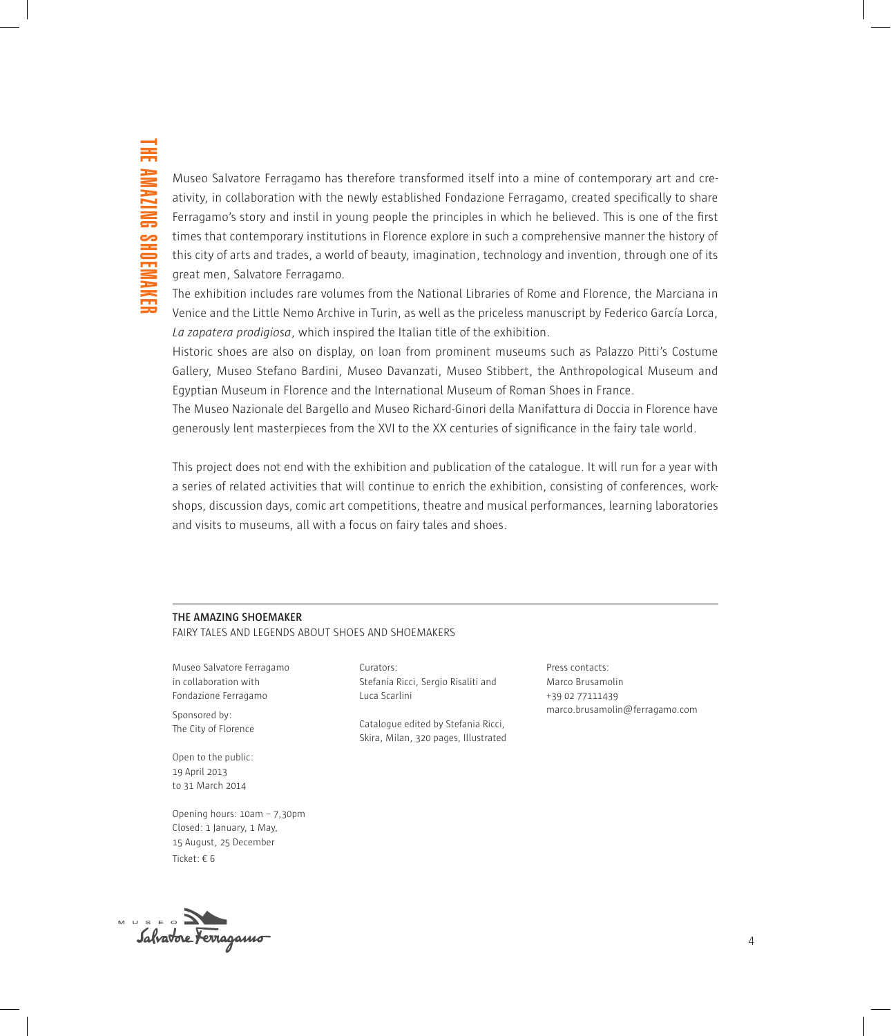Museo Salvatore Ferragamo has therefore transformed itself into a mine of contemporary art and creativity, in collaboration with the newly established Fondazione Ferragamo, created specifically to share Ferragamo's story and instil in young people the principles in which he believed. This is one of the first times that contemporary institutions in Florence explore in such a comprehensive manner the history of this city of arts and trades, a world of beauty, imagination, technology and invention, through one of its great men, Salvatore Ferragamo.

The exhibition includes rare volumes from the National Libraries of Rome and Florence, the Marciana in Venice and the Little Nemo Archive in Turin, as well as the priceless manuscript by Federico García Lorca, *La zapatera prodigiosa*, which inspired the Italian title of the exhibition.

Historic shoes are also on display, on loan from prominent museums such as Palazzo Pitti's Costume Gallery, Museo Stefano Bardini, Museo Davanzati, Museo Stibbert, the Anthropological Museum and Egyptian Museum in Florence and the International Museum of Roman Shoes in France.

The Museo Nazionale del Bargello and Museo Richard-Ginori della Manifattura di Doccia in Florence have generously lent masterpieces from the XVI to the XX centuries of significance in the fairy tale world.

This project does not end with the exhibition and publication of the catalogue. It will run for a year with a series of related activities that will continue to enrich the exhibition, consisting of conferences, workshops, discussion days, comic art competitions, theatre and musical performances, learning laboratories and visits to museums, all with a focus on fairy tales and shoes.

#### **THE AMAZING SHOEMAKER**

FAIRY TALES AND LEGENDS ABOUT SHOES AND SHOEMAKERS

Museo Salvatore Ferragamo in collaboration with Fondazione Ferragamo

Sponsored by: The City of Florence

Open to the public: 19 April 2013 to 31 March 2014

Opening hours: 10am – 7,30pm Closed: 1 January, 1 May, 15 August, 25 December Ticket: € 6

Curators: Stefania Ricci, Sergio Risaliti and Luca Scarlini

Catalogue edited by Stefania Ricci, Skira, Milan, 320 pages, Illustrated Press contacts: Marco Brusamolin +39 02 77111439 marco.brusamolin@ferragamo.com

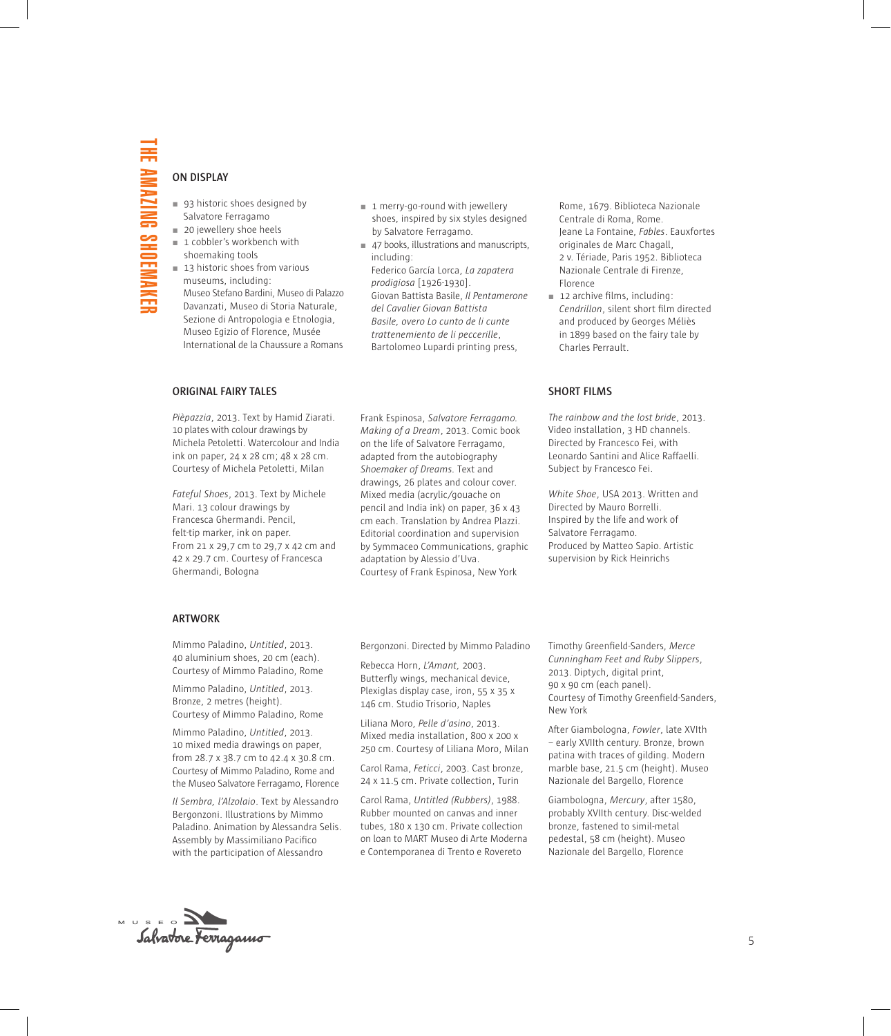#### **ON DISPLAY**

- 93 historic shoes designed by Salvatore Ferragamo
- 20 jewellery shoe heels
- $1$  cobbler's workbench with shoemaking tools
- 13 historic shoes from various museums, including: Museo Stefano Bardini, Museo di Palazzo Davanzati, Museo di Storia Naturale, Sezione di Antropologia e Etnologia, Museo Egizio of Florence, Musée International de la Chaussure a Romans
- $1$  merry-go-round with jewellery shoes, inspired by six styles designed by Salvatore Ferragamo.
- 47 books, illustrations and manuscripts, including: Federico García Lorca, *La zapatera prodigiosa* [1926-1930]. Giovan Battista Basile, *Il Pentamerone del Cavalier Giovan Battista Basile, overo Lo cunto de li cunte trattenemiento de li peccerille*, Bartolomeo Lupardi printing press,

Rome, 1679. Biblioteca Nazionale Centrale di Roma, Rome. Jeane La Fontaine, *Fables*. Eauxfortes originales de Marc Chagall, 2 v. Tériade, Paris 1952. Biblioteca Nazionale Centrale di Firenze, Florence

12 archive films, including: *Cendrillon*, silent short film directed and produced by Georges Méliès in 1899 based on the fairy tale by Charles Perrault.

#### **ORIGINAL FAIRY TALES**

*Pièpazzia*, 2013. Text by Hamid Ziarati. 10 plates with colour drawings by Michela Petoletti. Watercolour and India ink on paper, 24 x 28 cm; 48 x 28 cm. Courtesy of Michela Petoletti, Milan

*Fateful Shoes*, 2013. Text by Michele Mari. 13 colour drawings by Francesca Ghermandi. Pencil, felt-tip marker, ink on paper. From 21 x 29,7 cm to 29,7 x 42 cm and 42 x 29.7 cm. Courtesy of Francesca Ghermandi, Bologna

Frank Espinosa, *Salvatore Ferragamo. Making of a Dream*, 2013. Comic book on the life of Salvatore Ferragamo, adapted from the autobiography *Shoemaker of Dreams.* Text and drawings, 26 plates and colour cover. Mixed media (acrylic/gouache on pencil and India ink) on paper, 36 x 43 cm each. Translation by Andrea Plazzi. Editorial coordination and supervision by Symmaceo Communications, graphic adaptation by Alessio d'Uva. Courtesy of Frank Espinosa, New York

#### **SHORT FILMS**

*The rainbow and the lost bride*, 2013. Video installation, 3 HD channels. Directed by Francesco Fei, with Leonardo Santini and Alice Raffaelli. Subject by Francesco Fei.

*White Shoe*, USA 2013. Written and Directed by Mauro Borrelli. Inspired by the life and work of Salvatore Ferragamo. Produced by Matteo Sapio. Artistic supervision by Rick Heinrichs

### **ARTWORK**

Mimmo Paladino, *Untitled*, 2013. 40 aluminium shoes, 20 cm (each). Courtesy of Mimmo Paladino, Rome

Mimmo Paladino, *Untitled*, 2013. Bronze, 2 metres (height). Courtesy of Mimmo Paladino, Rome

Mimmo Paladino, *Untitled*, 2013. 10 mixed media drawings on paper, from 28.7 x 38.7 cm to 42.4 x 30.8 cm. Courtesy of Mimmo Paladino, Rome and the Museo Salvatore Ferragamo, Florence

*Il Sembra, l'Alzolaio*. Text by Alessandro Bergonzoni. Illustrations by Mimmo Paladino. Animation by Alessandra Selis. Assembly by Massimiliano Pacifico with the participation of Alessandro

Bergonzoni. Directed by Mimmo Paladino

Rebecca Horn, *L'Amant,* 2003. Butterfly wings, mechanical device, Plexiglas display case, iron, 55 x 35 x 146 cm. Studio Trisorio, Naples

Liliana Moro, *Pelle d'asino*, 2013. Mixed media installation, 800 x 200 x 250 cm. Courtesy of Liliana Moro, Milan

Carol Rama, *Feticci*, 2003. Cast bronze, 24 x 11.5 cm. Private collection, Turin

Carol Rama, *Untitled (Rubbers)*, 1988. Rubber mounted on canvas and inner tubes, 180 x 130 cm. Private collection on loan to MART Museo di Arte Moderna e Contemporanea di Trento e Rovereto

Timothy Greenfield-Sanders, *Merce Cunningham Feet and Ruby Slippers*, 2013. Diptych, digital print, 90 x 90 cm (each panel). Courtesy of Timothy Greenfield-Sanders, New York

After Giambologna, *Fowler*, late XVIth – early XVIIth century. Bronze, brown patina with traces of gilding. Modern marble base, 21.5 cm (height). Museo Nazionale del Bargello, Florence

Giambologna, *Mercury*, after 1580, probably XVIIth century. Disc-welded bronze, fastened to simil-metal pedestal, 58 cm (height). Museo Nazionale del Bargello, Florence

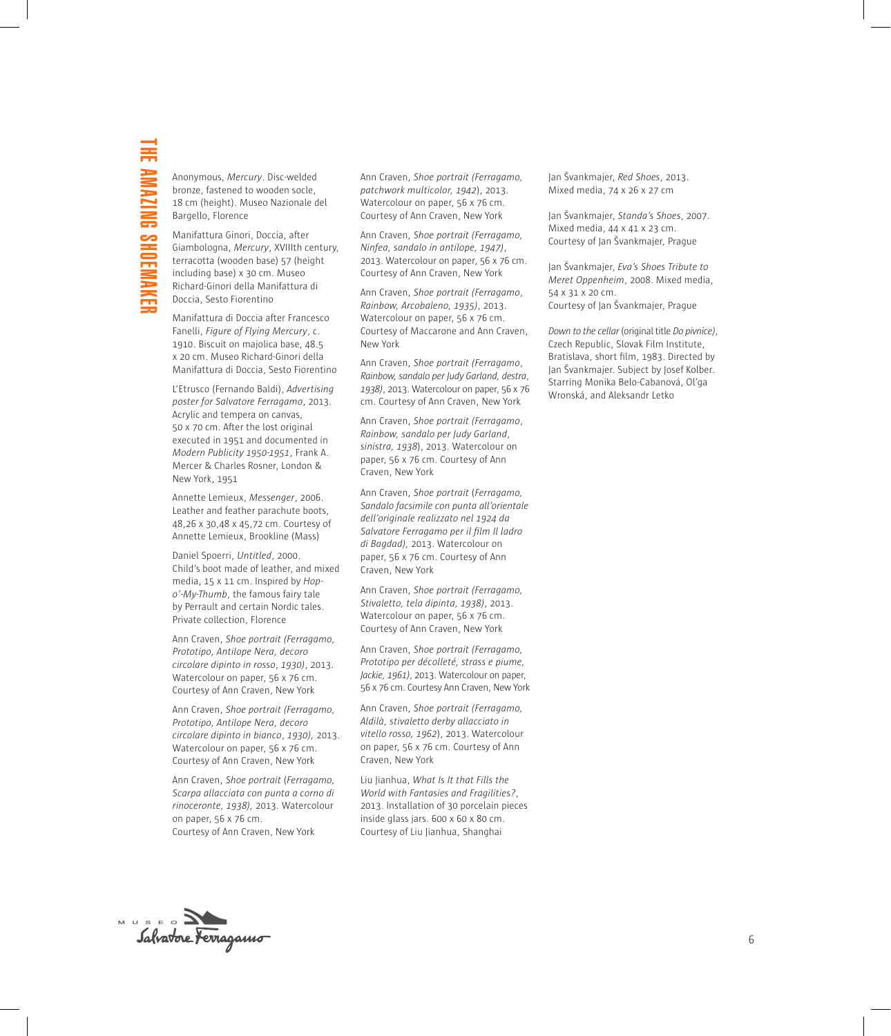Anonymous, *Mercury*. Disc-welded bronze, fastened to wooden socle, 18 cm (height). Museo Nazionale del Bargello, Florence

Manifattura Ginori, Doccia, after Giambologna, *Mercury*, XVIIIth century, terracotta (wooden base) 57 (height including base) x 30 cm. Museo Richard-Ginori della Manifattura di Doccia, Sesto Fiorentino

Manifattura di Doccia after Francesco Fanelli, *Figure of Flying Mercury*, c. 1910. Biscuit on majolica base, 48.5 x 20 cm. Museo Richard-Ginori della Manifattura di Doccia, Sesto Fiorentino

L'Etrusco (Fernando Baldi), *Advertising poster for Salvatore Ferragamo*, 2013. Acrylic and tempera on canvas, 50 x 70 cm. After the lost original executed in 1951 and documented in *Modern Publicity 1950-1951*, Frank A. Mercer & Charles Rosner, London & New York, 1951

Annette Lemieux, *Messenger*, 2006. Leather and feather parachute boots, 48,26 x 30,48 x 45,72 cm. Courtesy of Annette Lemieux, Brookline (Mass)

Daniel Spoerri, *Untitled*, 2000. Child's boot made of leather, and mixed media, 15 x 11 cm. Inspired by *Hopo'-My-Thumb*, the famous fairy tale by Perrault and certain Nordic tales. Private collection, Florence

Ann Craven, *Shoe portrait (Ferragamo, Prototipo, Antilope Nera, decoro circolare dipinto in rosso*, *1930)*, 2013. Watercolour on paper, 56 x 76 cm. Courtesy of Ann Craven, New York

Ann Craven, *Shoe portrait (Ferragamo, Prototipo, Antilope Nera, decoro circolare dipinto in bianco*, *1930),* 2013. Watercolour on paper, 56 x 76 cm. Courtesy of Ann Craven, New York

Ann Craven, *Shoe portrait* (*Ferragamo, Scarpa allacciata con punta a corno di rinoceronte, 1938),* 2013. Watercolour on paper, 56 x 76 cm. Courtesy of Ann Craven, New York

Ann Craven, *Shoe portrait (Ferragamo, patchwork multicolor, 1942*), 2013. Watercolour on paper, 56 x 76 cm. Courtesy of Ann Craven, New York

Ann Craven, *Shoe portrait (Ferragamo, Ninfea, sandalo in antilope, 1947)*, 2013. Watercolour on paper, 56 x 76 cm. Courtesy of Ann Craven, New York

Ann Craven, *Shoe portrait (Ferragamo*, *Rainbow, Arcobaleno, 1935)*, 2013. Watercolour on paper, 56 x 76 cm. Courtesy of Maccarone and Ann Craven, New York

Ann Craven, *Shoe portrait (Ferragamo*, *Rainbow, sandalo per Judy Garland, destra*, *1938)*, 2013. Watercolour on paper, 56 x 76 cm. Courtesy of Ann Craven, New York

Ann Craven, *Shoe portrait (Ferragamo*, *Rainbow, sandalo per Judy Garland*, *sinistra, 1938*), 2013. Watercolour on paper, 56 x 76 cm. Courtesy of Ann Craven, New York

Ann Craven, *Shoe portrait* (*Ferragamo, Sandalo facsimile con punta all'orientale dell'originale realizzato nel 1924 da Salvatore Ferragamo per il film Il ladro di Bagdad),* 2013. Watercolour on paper, 56 x 76 cm. Courtesy of Ann Craven, New York

Ann Craven, *Shoe portrait (Ferragamo, Stivaletto, tela dipinta, 1938)*, 2013. Watercolour on paper, 56 x 76 cm. Courtesy of Ann Craven, New York

Ann Craven, *Shoe portrait (Ferragamo, Prototipo per décolleté, strass e piume, Jackie, 1961)*, 2013. Watercolour on paper, 56 x 76 cm. Courtesy Ann Craven, New York

Ann Craven, *Shoe portrait (Ferragamo, Aldilà, stivaletto derby allacciato in vitello rosso, 1962*), 2013. Watercolour on paper, 56 x 76 cm. Courtesy of Ann Craven, New York

Liu Jianhua, *What Is It that Fills the World with Fantasies and Fragilities?*, 2013. Installation of 30 porcelain pieces inside glass jars. 600 x 60 x 80 cm. Courtesy of Liu Jianhua, Shanghai

Jan Švankmajer, *Red Shoes*, 2013. Mixed media, 74 x 26 x 27 cm

Jan Švankmajer, *Standa's Shoes*, 2007. Mixed media, 44 x 41 x 23 cm. Courtesy of Jan Švankmajer, Prague

Jan Švankmajer, *Eva's Shoes Tribute to Meret Oppenheim*, 2008. Mixed media, 54 x 31 x 20 cm. Courtesy of Jan Švankmajer, Prague

*Down to the cellar* (original title *Do pivnice)*, Czech Republic, Slovak Film Institute, Bratislava, short film, 1983. Directed by Jan Švankmajer. Subject by Josef Kolber. Starring Monika Belo-Cabanová, Ol'ga Wronská, and Aleksandr Letko

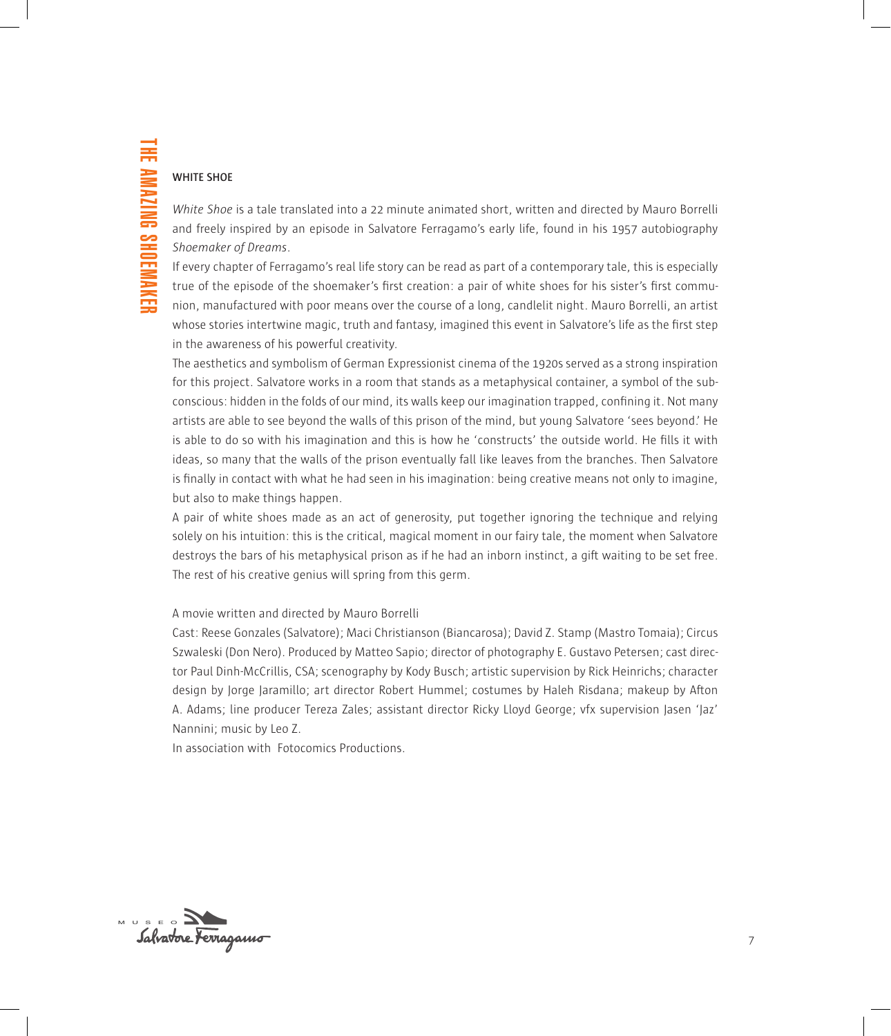## **WHITE SHOE**

*White Shoe* is a tale translated into a 22 minute animated short, written and directed by Mauro Borrelli and freely inspired by an episode in Salvatore Ferragamo's early life, found in his 1957 autobiography *Shoemaker of Dreams*.

If every chapter of Ferragamo's real life story can be read as part of a contemporary tale, this is especially true of the episode of the shoemaker's first creation: a pair of white shoes for his sister's first communion, manufactured with poor means over the course of a long, candlelit night. Mauro Borrelli, an artist whose stories intertwine magic, truth and fantasy, imagined this event in Salvatore's life as the first step in the awareness of his powerful creativity.

The aesthetics and symbolism of German Expressionist cinema of the 1920s served as a strong inspiration for this project. Salvatore works in a room that stands as a metaphysical container, a symbol of the subconscious: hidden in the folds of our mind, its walls keep our imagination trapped, confining it. Not many artists are able to see beyond the walls of this prison of the mind, but young Salvatore 'sees beyond.' He is able to do so with his imagination and this is how he 'constructs' the outside world. He fills it with ideas, so many that the walls of the prison eventually fall like leaves from the branches. Then Salvatore is finally in contact with what he had seen in his imagination: being creative means not only to imagine, but also to make things happen.

A pair of white shoes made as an act of generosity, put together ignoring the technique and relying solely on his intuition: this is the critical, magical moment in our fairy tale, the moment when Salvatore destroys the bars of his metaphysical prison as if he had an inborn instinct, a gift waiting to be set free. The rest of his creative genius will spring from this germ.

## A movie written and directed by Mauro Borrelli

Cast: Reese Gonzales (Salvatore); Maci Christianson (Biancarosa); David Z. Stamp (Mastro Tomaia); Circus Szwaleski (Don Nero). Produced by Matteo Sapio; director of photography E. Gustavo Petersen; cast director Paul Dinh-McCrillis, CSA; scenography by Kody Busch; artistic supervision by Rick Heinrichs; character design by Jorge Jaramillo; art director Robert Hummel; costumes by Haleh Risdana; makeup by Afton A. Adams; line producer Tereza Zales; assistant director Ricky Lloyd George; vfx supervision Jasen 'Jaz' Nannini; music by Leo Z.

In association with Fotocomics Productions.

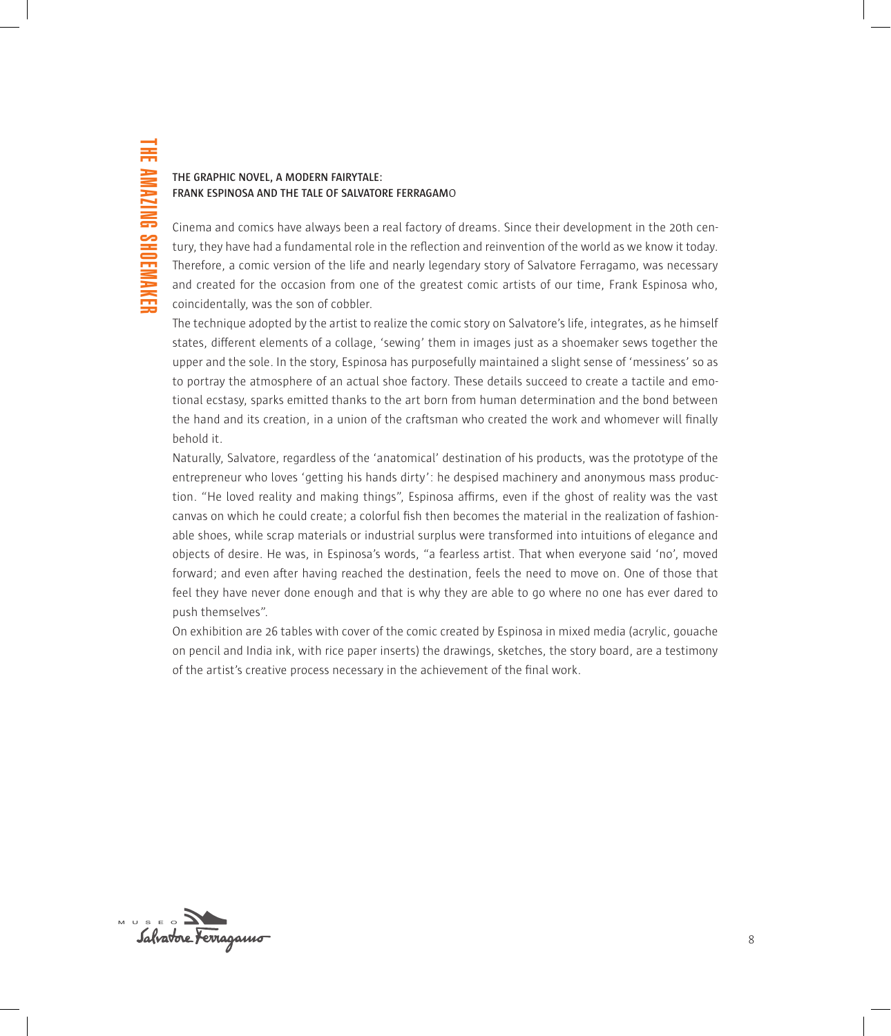# **THE GRAPHIC NOVEL, A MODERN FAIRYTALE: FRANK ESPINOSA AND THE TALE OF SALVATORE FERRAGAM**o

Cinema and comics have always been a real factory of dreams. Since their development in the 20th century, they have had a fundamental role in the reflection and reinvention of the world as we know it today. Therefore, a comic version of the life and nearly legendary story of Salvatore Ferragamo, was necessary and created for the occasion from one of the greatest comic artists of our time, Frank Espinosa who, coincidentally, was the son of cobbler.

The technique adopted by the artist to realize the comic story on Salvatore's life, integrates, as he himself states, different elements of a collage, 'sewing' them in images just as a shoemaker sews together the upper and the sole. In the story, Espinosa has purposefully maintained a slight sense of 'messiness' so as to portray the atmosphere of an actual shoe factory. These details succeed to create a tactile and emotional ecstasy, sparks emitted thanks to the art born from human determination and the bond between the hand and its creation, in a union of the craftsman who created the work and whomever will finally behold it.

Naturally, Salvatore, regardless of the 'anatomical' destination of his products, was the prototype of the entrepreneur who loves 'getting his hands dirty': he despised machinery and anonymous mass production. "He loved reality and making things", Espinosa affirms, even if the ghost of reality was the vast canvas on which he could create; a colorful fish then becomes the material in the realization of fashionable shoes, while scrap materials or industrial surplus were transformed into intuitions of elegance and objects of desire. He was, in Espinosa's words, "a fearless artist. That when everyone said 'no', moved forward; and even after having reached the destination, feels the need to move on. One of those that feel they have never done enough and that is why they are able to go where no one has ever dared to push themselves".

On exhibition are 26 tables with cover of the comic created by Espinosa in mixed media (acrylic, gouache on pencil and India ink, with rice paper inserts) the drawings, sketches, the story board, are a testimony of the artist's creative process necessary in the achievement of the final work.

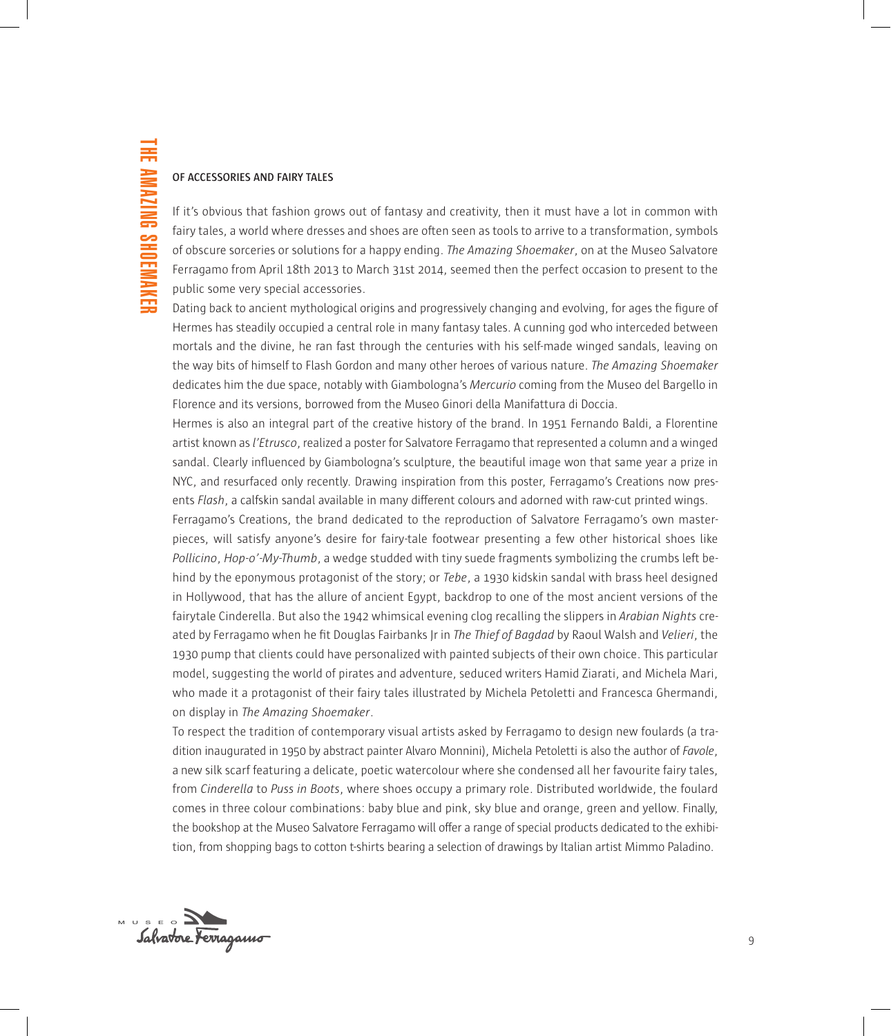## **OF ACCESSORIES AND FAIRY TALES**

If it's obvious that fashion grows out of fantasy and creativity, then it must have a lot in common with fairy tales, a world where dresses and shoes are often seen as tools to arrive to a transformation, symbols of obscure sorceries or solutions for a happy ending. *The Amazing Shoemaker*, on at the Museo Salvatore Ferragamo from April 18th 2013 to March 31st 2014, seemed then the perfect occasion to present to the public some very special accessories.

Dating back to ancient mythological origins and progressively changing and evolving, for ages the figure of Hermes has steadily occupied a central role in many fantasy tales. A cunning god who interceded between mortals and the divine, he ran fast through the centuries with his self-made winged sandals, leaving on the way bits of himself to Flash Gordon and many other heroes of various nature. *The Amazing Shoemaker* dedicates him the due space, notably with Giambologna's *Mercurio* coming from the Museo del Bargello in Florence and its versions, borrowed from the Museo Ginori della Manifattura di Doccia.

Hermes is also an integral part of the creative history of the brand. In 1951 Fernando Baldi, a Florentine artist known as *l'Etrusco*, realized a poster for Salvatore Ferragamo that represented a column and a winged sandal. Clearly influenced by Giambologna's sculpture, the beautiful image won that same year a prize in NYC, and resurfaced only recently. Drawing inspiration from this poster, Ferragamo's Creations now presents *Flash*, a calfskin sandal available in many different colours and adorned with raw-cut printed wings.

Ferragamo's Creations, the brand dedicated to the reproduction of Salvatore Ferragamo's own masterpieces, will satisfy anyone's desire for fairy-tale footwear presenting a few other historical shoes like *Pollicino*, *Hop-o'-My-Thumb*, a wedge studded with tiny suede fragments symbolizing the crumbs left behind by the eponymous protagonist of the story; or *Tebe*, a 1930 kidskin sandal with brass heel designed in Hollywood, that has the allure of ancient Egypt, backdrop to one of the most ancient versions of the fairytale Cinderella. But also the 1942 whimsical evening clog recalling the slippers in *Arabian Nights* created by Ferragamo when he fit Douglas Fairbanks Jr in *The Thief of Bagdad* by Raoul Walsh and *Velieri*, the 1930 pump that clients could have personalized with painted subjects of their own choice. This particular model, suggesting the world of pirates and adventure, seduced writers Hamid Ziarati, and Michela Mari, who made it a protagonist of their fairy tales illustrated by Michela Petoletti and Francesca Ghermandi, on display in *The Amazing Shoemaker*.

To respect the tradition of contemporary visual artists asked by Ferragamo to design new foulards (a tradition inaugurated in 1950 by abstract painter Alvaro Monnini), Michela Petoletti is also the author of *Favole*, a new silk scarf featuring a delicate, poetic watercolour where she condensed all her favourite fairy tales, from *Cinderella* to *Puss in Boots*, where shoes occupy a primary role. Distributed worldwide, the foulard comes in three colour combinations: baby blue and pink, sky blue and orange, green and yellow. Finally, the bookshop at the Museo Salvatore Ferragamo will offer a range of special products dedicated to the exhibition, from shopping bags to cotton t-shirts bearing a selection of drawings by Italian artist Mimmo Paladino.

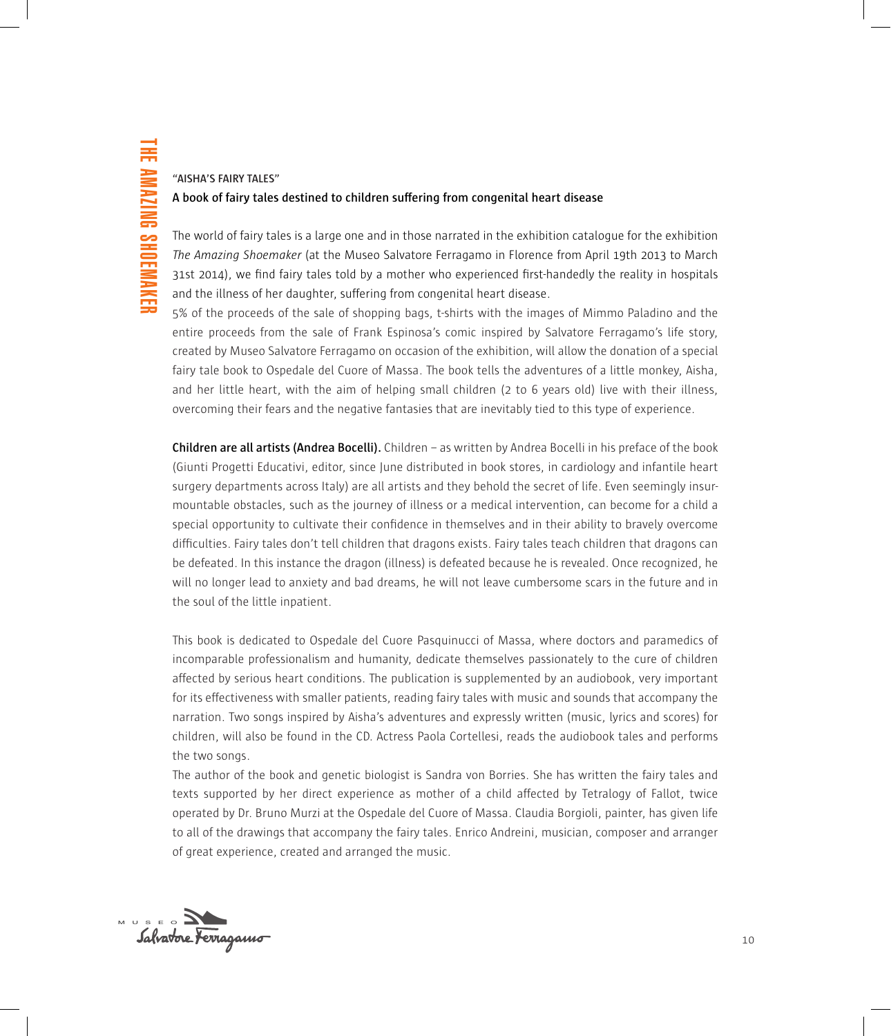# **"AISHA'S FAIRY TALES" A book of fairy tales destined to children suffering from congenital heart disease**

The world of fairy tales is a large one and in those narrated in the exhibition catalogue for the exhibition *The Amazing Shoemaker* (at the Museo Salvatore Ferragamo in Florence from April 19th 2013 to March 31st 2014), we find fairy tales told by a mother who experienced first-handedly the reality in hospitals and the illness of her daughter, suffering from congenital heart disease.

5% of the proceeds of the sale of shopping bags, t-shirts with the images of Mimmo Paladino and the entire proceeds from the sale of Frank Espinosa's comic inspired by Salvatore Ferragamo's life story, created by Museo Salvatore Ferragamo on occasion of the exhibition, will allow the donation of a special fairy tale book to Ospedale del Cuore of Massa. The book tells the adventures of a little monkey, Aisha, and her little heart, with the aim of helping small children (2 to 6 years old) live with their illness, overcoming their fears and the negative fantasies that are inevitably tied to this type of experience.

**Children are all artists (Andrea Bocelli).** Children – as written by Andrea Bocelli in his preface of the book (Giunti Progetti Educativi, editor, since June distributed in book stores, in cardiology and infantile heart surgery departments across Italy) are all artists and they behold the secret of life. Even seemingly insurmountable obstacles, such as the journey of illness or a medical intervention, can become for a child a special opportunity to cultivate their confidence in themselves and in their ability to bravely overcome difficulties. Fairy tales don't tell children that dragons exists. Fairy tales teach children that dragons can be defeated. In this instance the dragon (illness) is defeated because he is revealed. Once recognized, he will no longer lead to anxiety and bad dreams, he will not leave cumbersome scars in the future and in the soul of the little inpatient.

This book is dedicated to Ospedale del Cuore Pasquinucci of Massa, where doctors and paramedics of incomparable professionalism and humanity, dedicate themselves passionately to the cure of children affected by serious heart conditions. The publication is supplemented by an audiobook, very important for its effectiveness with smaller patients, reading fairy tales with music and sounds that accompany the narration. Two songs inspired by Aisha's adventures and expressly written (music, lyrics and scores) for children, will also be found in the CD. Actress Paola Cortellesi, reads the audiobook tales and performs the two songs.

The author of the book and genetic biologist is Sandra von Borries. She has written the fairy tales and texts supported by her direct experience as mother of a child affected by Tetralogy of Fallot, twice operated by Dr. Bruno Murzi at the Ospedale del Cuore of Massa. Claudia Borgioli, painter, has given life to all of the drawings that accompany the fairy tales. Enrico Andreini, musician, composer and arranger of great experience, created and arranged the music.